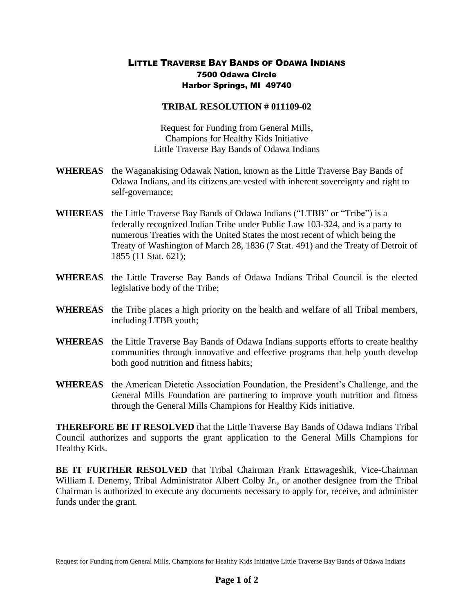## LITTLE TRAVERSE BAY BANDS OF ODAWA INDIANS 7500 Odawa Circle Harbor Springs, MI 49740

## **TRIBAL RESOLUTION # 011109-02**

Request for Funding from General Mills, Champions for Healthy Kids Initiative Little Traverse Bay Bands of Odawa Indians

- **WHEREAS** the Waganakising Odawak Nation, known as the Little Traverse Bay Bands of Odawa Indians, and its citizens are vested with inherent sovereignty and right to self-governance;
- **WHEREAS** the Little Traverse Bay Bands of Odawa Indians ("LTBB" or "Tribe") is a federally recognized Indian Tribe under Public Law 103-324, and is a party to numerous Treaties with the United States the most recent of which being the Treaty of Washington of March 28, 1836 (7 Stat. 491) and the Treaty of Detroit of 1855 (11 Stat. 621);
- **WHEREAS** the Little Traverse Bay Bands of Odawa Indians Tribal Council is the elected legislative body of the Tribe;
- **WHEREAS** the Tribe places a high priority on the health and welfare of all Tribal members, including LTBB youth;
- **WHEREAS** the Little Traverse Bay Bands of Odawa Indians supports efforts to create healthy communities through innovative and effective programs that help youth develop both good nutrition and fitness habits;
- **WHEREAS** the American Dietetic Association Foundation, the President's Challenge, and the General Mills Foundation are partnering to improve youth nutrition and fitness through the General Mills Champions for Healthy Kids initiative.

**THEREFORE BE IT RESOLVED** that the Little Traverse Bay Bands of Odawa Indians Tribal Council authorizes and supports the grant application to the General Mills Champions for Healthy Kids.

**BE IT FURTHER RESOLVED** that Tribal Chairman Frank Ettawageshik, Vice-Chairman William I. Denemy, Tribal Administrator Albert Colby Jr., or another designee from the Tribal Chairman is authorized to execute any documents necessary to apply for, receive, and administer funds under the grant.

Request for Funding from General Mills, Champions for Healthy Kids Initiative Little Traverse Bay Bands of Odawa Indians